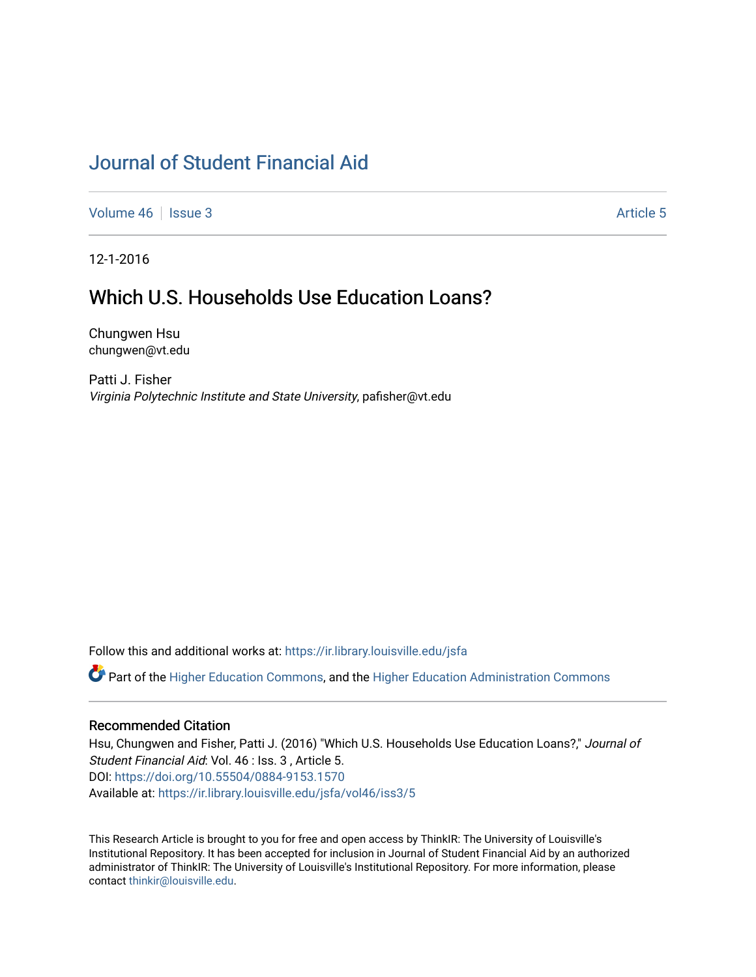# [Journal of Student Financial Aid](https://ir.library.louisville.edu/jsfa)

[Volume 46](https://ir.library.louisville.edu/jsfa/vol46) | [Issue 3](https://ir.library.louisville.edu/jsfa/vol46/iss3) Article 5

12-1-2016

# Which U.S. Households Use Education Loans?

Chungwen Hsu chungwen@vt.edu

Patti J. Fisher Virginia Polytechnic Institute and State University, pafisher@vt.edu

Follow this and additional works at: [https://ir.library.louisville.edu/jsfa](https://ir.library.louisville.edu/jsfa?utm_source=ir.library.louisville.edu%2Fjsfa%2Fvol46%2Fiss3%2F5&utm_medium=PDF&utm_campaign=PDFCoverPages) 

Part of the [Higher Education Commons,](http://network.bepress.com/hgg/discipline/1245?utm_source=ir.library.louisville.edu%2Fjsfa%2Fvol46%2Fiss3%2F5&utm_medium=PDF&utm_campaign=PDFCoverPages) and the [Higher Education Administration Commons](http://network.bepress.com/hgg/discipline/791?utm_source=ir.library.louisville.edu%2Fjsfa%2Fvol46%2Fiss3%2F5&utm_medium=PDF&utm_campaign=PDFCoverPages) 

#### Recommended Citation

Hsu, Chungwen and Fisher, Patti J. (2016) "Which U.S. Households Use Education Loans?," Journal of Student Financial Aid: Vol. 46 : Iss. 3 , Article 5. DOI:<https://doi.org/10.55504/0884-9153.1570> Available at: [https://ir.library.louisville.edu/jsfa/vol46/iss3/5](https://ir.library.louisville.edu/jsfa/vol46/iss3/5?utm_source=ir.library.louisville.edu%2Fjsfa%2Fvol46%2Fiss3%2F5&utm_medium=PDF&utm_campaign=PDFCoverPages) 

This Research Article is brought to you for free and open access by ThinkIR: The University of Louisville's Institutional Repository. It has been accepted for inclusion in Journal of Student Financial Aid by an authorized administrator of ThinkIR: The University of Louisville's Institutional Repository. For more information, please contact [thinkir@louisville.edu](mailto:thinkir@louisville.edu).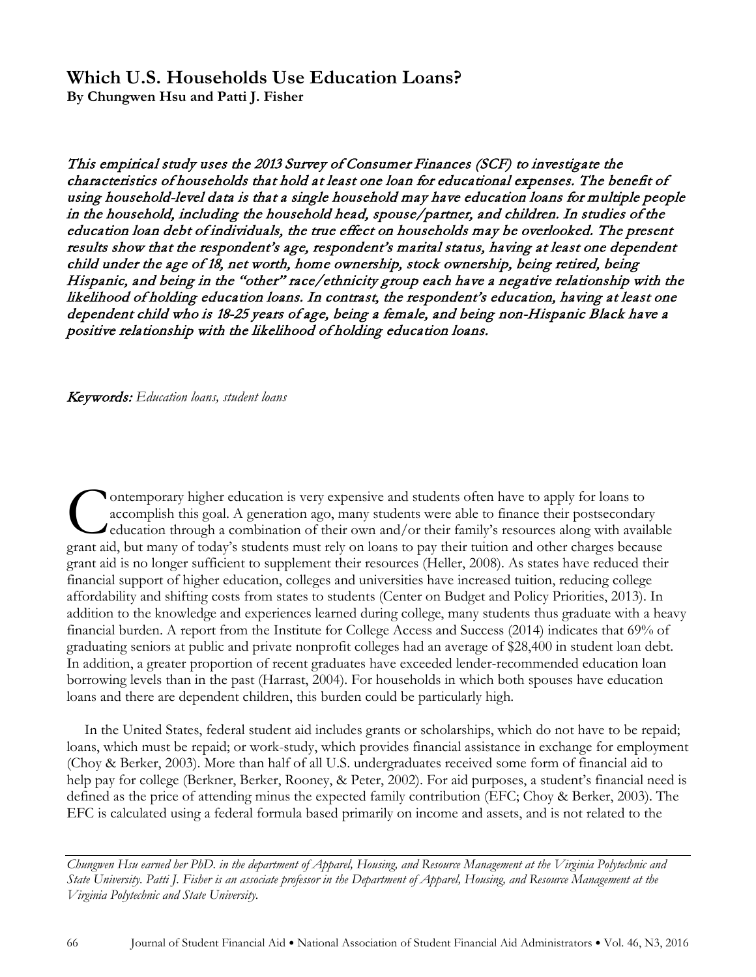# **Which U.S. Households Use Education Loans?**

**By Chungwen Hsu and Patti J. Fisher**

This empirical study uses the 2013 Survey of Consumer Finances (SCF) to investigate the characteristics of households that hold at least one loan for educational expenses. The benefit of using household-level data is that a single household may have education loans for multiple people in the household, including the household head, spouse/partner, and children. In studies of the education loan debt of individuals, the true effect on households may be overlooked. The present results show that the respondent's age, respondent's marital status, having at least one dependent child under the age of 18, net worth, home ownership, stock ownership, being retired, being Hispanic, and being in the "other" race/ethnicity group each have a negative relationship with the likelihood of holding education loans. In contrast, the respondent's education, having at least one dependent child who is 18-25 years of age, being a female, and being non-Hispanic Black have a positive relationship with the likelihood of holding education loans.

Keywords: *Education loans, student loans*

ontemporary higher education is very expensive and students often have to apply for loans to accomplish this goal. A generation ago, many students were able to finance their postsecondary education through a combination of their own and/or their family's resources along with available Ontemporary higher education is very expensive and students often have to apply for loans to accomplish this goal. A generation ago, many students were able to finance their postsecondary education through a combination of grant aid is no longer sufficient to supplement their resources (Heller, 2008). As states have reduced their financial support of higher education, colleges and universities have increased tuition, reducing college affordability and shifting costs from states to students (Center on Budget and Policy Priorities, 2013). In addition to the knowledge and experiences learned during college, many students thus graduate with a heavy financial burden. A report from the Institute for College Access and Success (2014) indicates that 69% of graduating seniors at public and private nonprofit colleges had an average of \$28,400 in student loan debt. In addition, a greater proportion of recent graduates have exceeded lender-recommended education loan borrowing levels than in the past (Harrast, 2004). For households in which both spouses have education loans and there are dependent children, this burden could be particularly high.

In the United States, federal student aid includes grants or scholarships, which do not have to be repaid; loans, which must be repaid; or work-study, which provides financial assistance in exchange for employment (Choy & Berker, 2003). More than half of all U.S. undergraduates received some form of financial aid to help pay for college (Berkner, Berker, Rooney, & Peter, 2002). For aid purposes, a student's financial need is defined as the price of attending minus the expected family contribution (EFC; Choy & Berker, 2003). The EFC is calculated using a federal formula based primarily on income and assets, and is not related to the

*Chungwen Hsu earned her PhD. in the department of Apparel, Housing, and Resource Management at the Virginia Polytechnic and State University. Patti J. Fisher is an associate professor in the Department of Apparel, Housing, and Resource Management at the Virginia Polytechnic and State University.*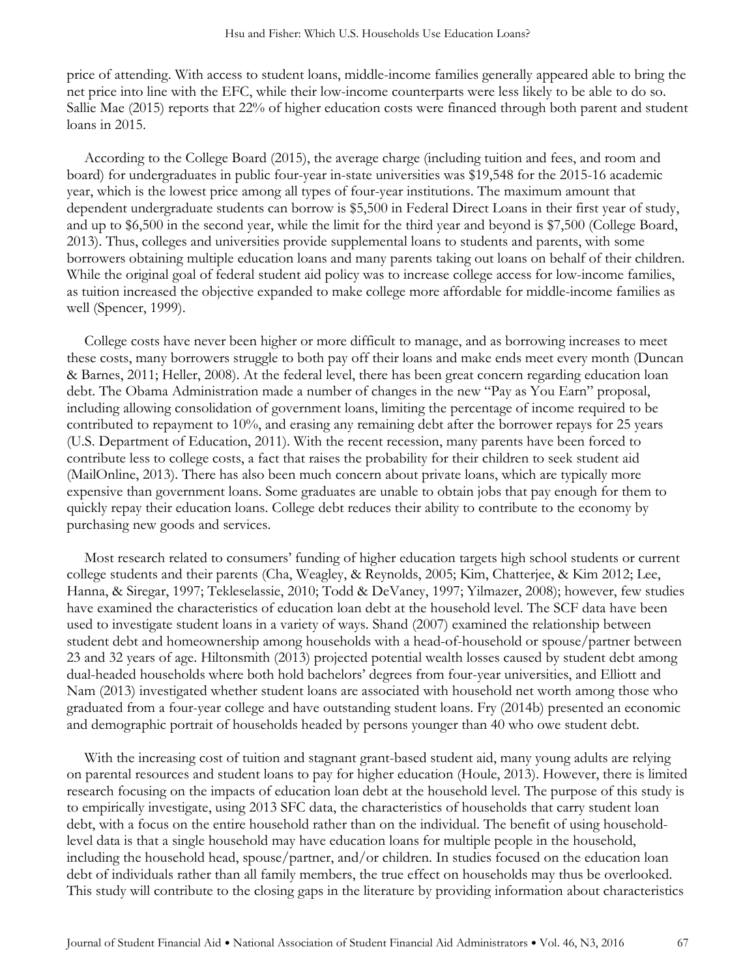price of attending. With access to student loans, middle-income families generally appeared able to bring the net price into line with the EFC, while their low-income counterparts were less likely to be able to do so. Sallie Mae (2015) reports that 22% of higher education costs were financed through both parent and student loans in 2015.

According to the College Board (2015), the average charge (including tuition and fees, and room and board) for undergraduates in public four-year in-state universities was \$19,548 for the 2015-16 academic year, which is the lowest price among all types of four-year institutions. The maximum amount that dependent undergraduate students can borrow is \$5,500 in Federal Direct Loans in their first year of study, and up to \$6,500 in the second year, while the limit for the third year and beyond is \$7,500 (College Board, 2013). Thus, colleges and universities provide supplemental loans to students and parents, with some borrowers obtaining multiple education loans and many parents taking out loans on behalf of their children. While the original goal of federal student aid policy was to increase college access for low-income families, as tuition increased the objective expanded to make college more affordable for middle-income families as well (Spencer, 1999).

College costs have never been higher or more difficult to manage, and as borrowing increases to meet these costs, many borrowers struggle to both pay off their loans and make ends meet every month (Duncan & Barnes, 2011; Heller, 2008). At the federal level, there has been great concern regarding education loan debt. The Obama Administration made a number of changes in the new "Pay as You Earn" proposal, including allowing consolidation of government loans, limiting the percentage of income required to be contributed to repayment to 10%, and erasing any remaining debt after the borrower repays for 25 years (U.S. Department of Education, 2011). With the recent recession, many parents have been forced to contribute less to college costs, a fact that raises the probability for their children to seek student aid (MailOnline, 2013). There has also been much concern about private loans, which are typically more expensive than government loans. Some graduates are unable to obtain jobs that pay enough for them to quickly repay their education loans. College debt reduces their ability to contribute to the economy by purchasing new goods and services.

Most research related to consumers' funding of higher education targets high school students or current college students and their parents (Cha, Weagley, & Reynolds, 2005; Kim, Chatterjee, & Kim 2012; Lee, Hanna, & Siregar, 1997; Tekleselassie, 2010; Todd & DeVaney, 1997; Yilmazer, 2008); however, few studies have examined the characteristics of education loan debt at the household level. The SCF data have been used to investigate student loans in a variety of ways. Shand (2007) examined the relationship between student debt and homeownership among households with a head-of-household or spouse/partner between 23 and 32 years of age. Hiltonsmith (2013) projected potential wealth losses caused by student debt among dual-headed households where both hold bachelors' degrees from four-year universities, and Elliott and Nam (2013) investigated whether student loans are associated with household net worth among those who graduated from a four-year college and have outstanding student loans. Fry (2014b) presented an economic and demographic portrait of households headed by persons younger than 40 who owe student debt.

With the increasing cost of tuition and stagnant grant-based student aid, many young adults are relying on parental resources and student loans to pay for higher education (Houle, 2013). However, there is limited research focusing on the impacts of education loan debt at the household level. The purpose of this study is to empirically investigate, using 2013 SFC data, the characteristics of households that carry student loan debt, with a focus on the entire household rather than on the individual. The benefit of using householdlevel data is that a single household may have education loans for multiple people in the household, including the household head, spouse/partner, and/or children. In studies focused on the education loan debt of individuals rather than all family members, the true effect on households may thus be overlooked. This study will contribute to the closing gaps in the literature by providing information about characteristics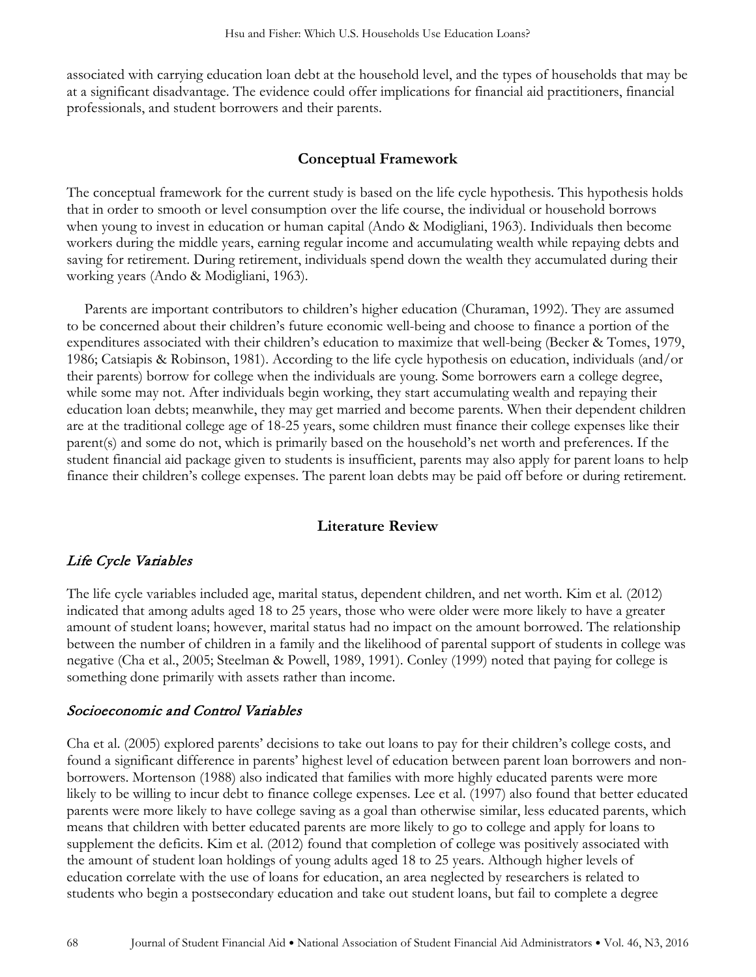associated with carrying education loan debt at the household level, and the types of households that may be at a significant disadvantage. The evidence could offer implications for financial aid practitioners, financial professionals, and student borrowers and their parents.

## **Conceptual Framework**

The conceptual framework for the current study is based on the life cycle hypothesis. This hypothesis holds that in order to smooth or level consumption over the life course, the individual or household borrows when young to invest in education or human capital (Ando & Modigliani, 1963). Individuals then become workers during the middle years, earning regular income and accumulating wealth while repaying debts and saving for retirement. During retirement, individuals spend down the wealth they accumulated during their working years (Ando & Modigliani, 1963).

Parents are important contributors to children's higher education (Churaman, 1992). They are assumed to be concerned about their children's future economic well-being and choose to finance a portion of the expenditures associated with their children's education to maximize that well-being (Becker & Tomes, 1979, 1986; Catsiapis & Robinson, 1981). According to the life cycle hypothesis on education, individuals (and/or their parents) borrow for college when the individuals are young. Some borrowers earn a college degree, while some may not. After individuals begin working, they start accumulating wealth and repaying their education loan debts; meanwhile, they may get married and become parents. When their dependent children are at the traditional college age of 18-25 years, some children must finance their college expenses like their parent(s) and some do not, which is primarily based on the household's net worth and preferences. If the student financial aid package given to students is insufficient, parents may also apply for parent loans to help finance their children's college expenses. The parent loan debts may be paid off before or during retirement.

## **Literature Review**

## Life Cycle Variables

The life cycle variables included age, marital status, dependent children, and net worth. Kim et al. (2012) indicated that among adults aged 18 to 25 years, those who were older were more likely to have a greater amount of student loans; however, marital status had no impact on the amount borrowed. The relationship between the number of children in a family and the likelihood of parental support of students in college was negative (Cha et al., 2005; Steelman & Powell, 1989, 1991). Conley (1999) noted that paying for college is something done primarily with assets rather than income.

## Socioeconomic and Control Variables

Cha et al. (2005) explored parents' decisions to take out loans to pay for their children's college costs, and found a significant difference in parents' highest level of education between parent loan borrowers and nonborrowers. Mortenson (1988) also indicated that families with more highly educated parents were more likely to be willing to incur debt to finance college expenses. Lee et al. (1997) also found that better educated parents were more likely to have college saving as a goal than otherwise similar, less educated parents, which means that children with better educated parents are more likely to go to college and apply for loans to supplement the deficits. Kim et al. (2012) found that completion of college was positively associated with the amount of student loan holdings of young adults aged 18 to 25 years. Although higher levels of education correlate with the use of loans for education, an area neglected by researchers is related to students who begin a postsecondary education and take out student loans, but fail to complete a degree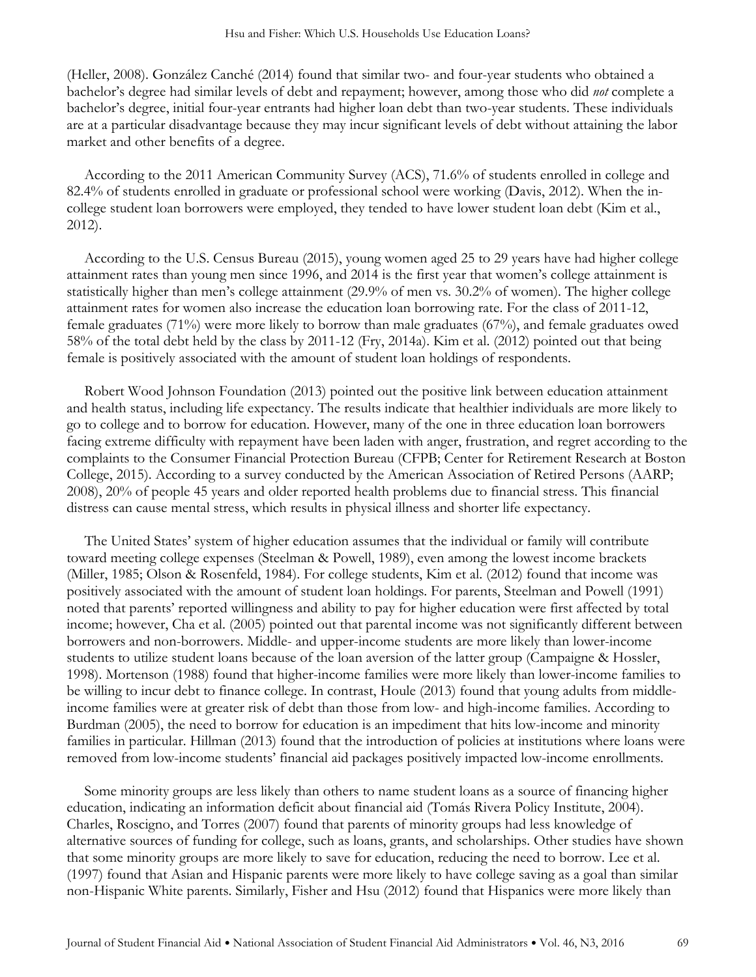(Heller, 2008). González Canché (2014) found that similar two- and four-year students who obtained a bachelor's degree had similar levels of debt and repayment; however, among those who did *not* complete a bachelor's degree, initial four-year entrants had higher loan debt than two-year students. These individuals are at a particular disadvantage because they may incur significant levels of debt without attaining the labor market and other benefits of a degree.

According to the 2011 American Community Survey (ACS), 71.6% of students enrolled in college and 82.4% of students enrolled in graduate or professional school were working (Davis, 2012). When the incollege student loan borrowers were employed, they tended to have lower student loan debt (Kim et al., 2012).

According to the U.S. Census Bureau (2015), young women aged 25 to 29 years have had higher college attainment rates than young men since 1996, and 2014 is the first year that women's college attainment is statistically higher than men's college attainment (29.9% of men vs. 30.2% of women). The higher college attainment rates for women also increase the education loan borrowing rate. For the class of 2011-12, female graduates (71%) were more likely to borrow than male graduates (67%), and female graduates owed 58% of the total debt held by the class by 2011-12 (Fry, 2014a). Kim et al. (2012) pointed out that being female is positively associated with the amount of student loan holdings of respondents.

Robert Wood Johnson Foundation (2013) pointed out the positive link between education attainment and health status, including life expectancy. The results indicate that healthier individuals are more likely to go to college and to borrow for education. However, many of the one in three education loan borrowers facing extreme difficulty with repayment have been laden with anger, frustration, and regret according to the complaints to the Consumer Financial Protection Bureau (CFPB; Center for Retirement Research at Boston College, 2015). According to a survey conducted by the American Association of Retired Persons (AARP; 2008), 20% of people 45 years and older reported health problems due to financial stress. This financial distress can cause mental stress, which results in physical illness and shorter life expectancy.

The United States' system of higher education assumes that the individual or family will contribute toward meeting college expenses (Steelman & Powell, 1989), even among the lowest income brackets (Miller, 1985; Olson & Rosenfeld, 1984). For college students, Kim et al. (2012) found that income was positively associated with the amount of student loan holdings. For parents, Steelman and Powell (1991) noted that parents' reported willingness and ability to pay for higher education were first affected by total income; however, Cha et al. (2005) pointed out that parental income was not significantly different between borrowers and non-borrowers. Middle- and upper-income students are more likely than lower-income students to utilize student loans because of the loan aversion of the latter group (Campaigne & Hossler, 1998). Mortenson (1988) found that higher-income families were more likely than lower-income families to be willing to incur debt to finance college. In contrast, Houle (2013) found that young adults from middleincome families were at greater risk of debt than those from low- and high-income families. According to Burdman (2005), the need to borrow for education is an impediment that hits low-income and minority families in particular. Hillman (2013) found that the introduction of policies at institutions where loans were removed from low-income students' financial aid packages positively impacted low-income enrollments.

Some minority groups are less likely than others to name student loans as a source of financing higher education, indicating an information deficit about financial aid (Tomás Rivera Policy Institute, 2004). Charles, Roscigno, and Torres (2007) found that parents of minority groups had less knowledge of alternative sources of funding for college, such as loans, grants, and scholarships. Other studies have shown that some minority groups are more likely to save for education, reducing the need to borrow. Lee et al. (1997) found that Asian and Hispanic parents were more likely to have college saving as a goal than similar non-Hispanic White parents. Similarly, Fisher and Hsu (2012) found that Hispanics were more likely than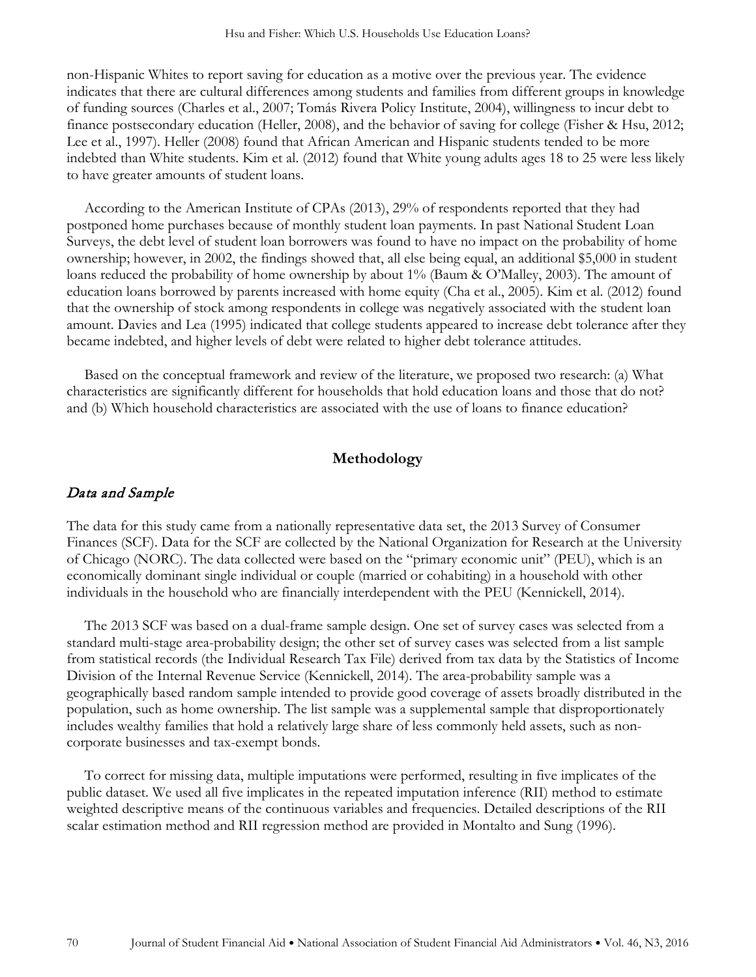non-Hispanic Whites to report saving for education as a motive over the previous year. The evidence indicates that there are cultural differences among students and families from different groups in knowledge of funding sources (Charles et al., 2007; Tomás Rivera Policy Institute, 2004), willingness to incur debt to finance postsecondary education (Heller, 2008), and the behavior of saving for college (Fisher & Hsu, 2012; Lee et al., 1997). Heller (2008) found that African American and Hispanic students tended to be more indebted than White students. Kim et al. (2012) found that White young adults ages 18 to 25 were less likely to have greater amounts of student loans.

According to the American Institute of CPAs (2013), 29% of respondents reported that they had postponed home purchases because of monthly student loan payments. In past National Student Loan Surveys, the debt level of student loan borrowers was found to have no impact on the probability of home ownership; however, in 2002, the findings showed that, all else being equal, an additional \$5,000 in student loans reduced the probability of home ownership by about 1% (Baum & O'Malley, 2003). The amount of education loans borrowed by parents increased with home equity (Cha et al., 2005). Kim et al. (2012) found that the ownership of stock among respondents in college was negatively associated with the student loan amount. Davies and Lea (1995) indicated that college students appeared to increase debt tolerance after they became indebted, and higher levels of debt were related to higher debt tolerance attitudes.

Based on the conceptual framework and review of the literature, we proposed two research: (a) What characteristics are significantly different for households that hold education loans and those that do not? and (b) Which household characteristics are associated with the use of loans to finance education?

#### **Methodology**

### Data and Sample

The data for this study came from a nationally representative data set, the 2013 Survey of Consumer Finances (SCF). Data for the SCF are collected by the National Organization for Research at the University of Chicago (NORC). The data collected were based on the "primary economic unit" (PEU), which is an economically dominant single individual or couple (married or cohabiting) in a household with other individuals in the household who are financially interdependent with the PEU (Kennickell, 2014).

The 2013 SCF was based on a dual-frame sample design. One set of survey cases was selected from a standard multi-stage area-probability design; the other set of survey cases was selected from a list sample from statistical records (the Individual Research Tax File) derived from tax data by the Statistics of Income Division of the Internal Revenue Service (Kennickell, 2014). The area-probability sample was a geographically based random sample intended to provide good coverage of assets broadly distributed in the population, such as home ownership. The list sample was a supplemental sample that disproportionately includes wealthy families that hold a relatively large share of less commonly held assets, such as noncorporate businesses and tax-exempt bonds.

To correct for missing data, multiple imputations were performed, resulting in five implicates of the public dataset. We used all five implicates in the repeated imputation inference (RII) method to estimate weighted descriptive means of the continuous variables and frequencies. Detailed descriptions of the RII scalar estimation method and RII regression method are provided in Montalto and Sung (1996).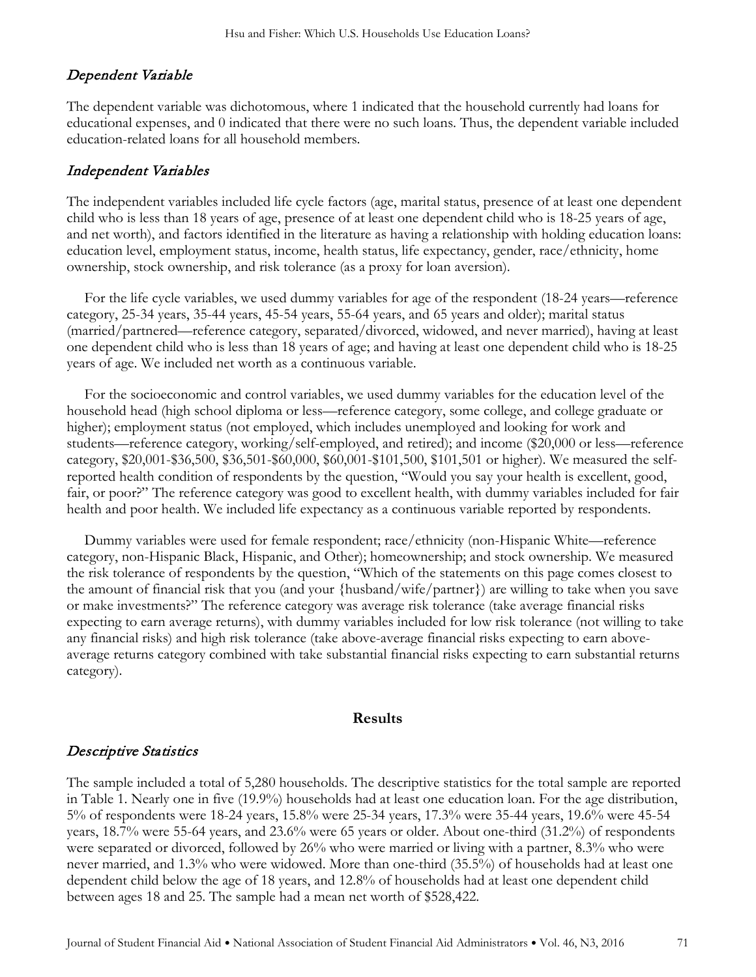# Dependent Variable

The dependent variable was dichotomous, where 1 indicated that the household currently had loans for educational expenses, and 0 indicated that there were no such loans. Thus, the dependent variable included education-related loans for all household members.

## Independent Variables

The independent variables included life cycle factors (age, marital status, presence of at least one dependent child who is less than 18 years of age, presence of at least one dependent child who is 18-25 years of age, and net worth), and factors identified in the literature as having a relationship with holding education loans: education level, employment status, income, health status, life expectancy, gender, race/ethnicity, home ownership, stock ownership, and risk tolerance (as a proxy for loan aversion).

For the life cycle variables, we used dummy variables for age of the respondent (18-24 years—reference category, 25-34 years, 35-44 years, 45-54 years, 55-64 years, and 65 years and older); marital status (married/partnered—reference category, separated/divorced, widowed, and never married), having at least one dependent child who is less than 18 years of age; and having at least one dependent child who is 18-25 years of age. We included net worth as a continuous variable.

For the socioeconomic and control variables, we used dummy variables for the education level of the household head (high school diploma or less—reference category, some college, and college graduate or higher); employment status (not employed, which includes unemployed and looking for work and students—reference category, working/self-employed, and retired); and income (\$20,000 or less—reference category, \$20,001-\$36,500, \$36,501-\$60,000, \$60,001-\$101,500, \$101,501 or higher). We measured the selfreported health condition of respondents by the question, "Would you say your health is excellent, good, fair, or poor?" The reference category was good to excellent health, with dummy variables included for fair health and poor health. We included life expectancy as a continuous variable reported by respondents.

Dummy variables were used for female respondent; race/ethnicity (non-Hispanic White—reference category, non-Hispanic Black, Hispanic, and Other); homeownership; and stock ownership. We measured the risk tolerance of respondents by the question, "Which of the statements on this page comes closest to the amount of financial risk that you (and your {husband/wife/partner}) are willing to take when you save or make investments?" The reference category was average risk tolerance (take average financial risks expecting to earn average returns), with dummy variables included for low risk tolerance (not willing to take any financial risks) and high risk tolerance (take above-average financial risks expecting to earn aboveaverage returns category combined with take substantial financial risks expecting to earn substantial returns category).

### **Results**

## Descriptive Statistics

The sample included a total of 5,280 households. The descriptive statistics for the total sample are reported in Table 1. Nearly one in five (19.9%) households had at least one education loan. For the age distribution, 5% of respondents were 18-24 years, 15.8% were 25-34 years, 17.3% were 35-44 years, 19.6% were 45-54 years, 18.7% were 55-64 years, and 23.6% were 65 years or older. About one-third (31.2%) of respondents were separated or divorced, followed by 26% who were married or living with a partner, 8.3% who were never married, and 1.3% who were widowed. More than one-third (35.5%) of households had at least one dependent child below the age of 18 years, and 12.8% of households had at least one dependent child between ages 18 and 25. The sample had a mean net worth of \$528,422.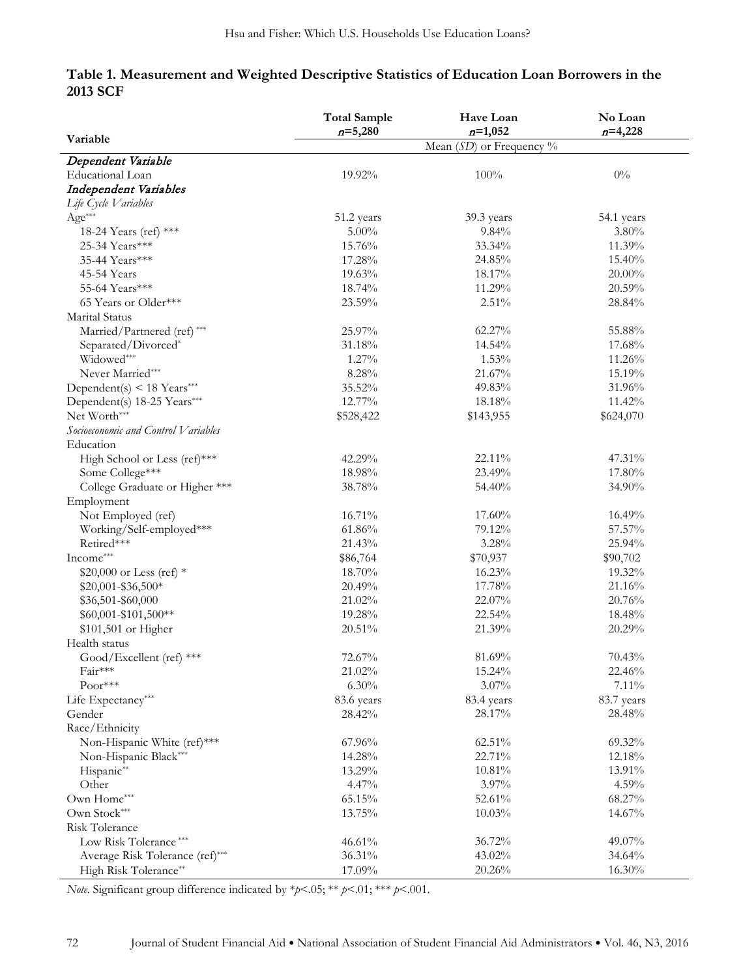## **Table 1. Measurement and Weighted Descriptive Statistics of Education Loan Borrowers in the 2013 SCF**

|                                     | <b>Total Sample</b>        | Have Loan  | No Loan    |
|-------------------------------------|----------------------------|------------|------------|
| Variable                            | $n = 5,280$                | $n=1,052$  | $n=4,228$  |
|                                     | Mean $(SD)$ or Frequency % |            |            |
| Dependent Variable                  |                            |            |            |
| Educational Loan                    | 19.92%                     | 100%       | $0\%$      |
| Independent Variables               |                            |            |            |
| Life Cycle Variables                |                            |            |            |
| $Age***$                            | 51.2 years                 | 39.3 years | 54.1 years |
| 18-24 Years (ref) ***               | $5.00\%$                   | $9.84\%$   | $3.80\%$   |
| 25-34 Years***                      | 15.76%                     | 33.34%     | 11.39%     |
| 35-44 Years***                      | 17.28%                     | 24.85%     | 15.40%     |
| 45-54 Years                         | 19.63%                     | 18.17%     | $20.00\%$  |
| 55-64 Years***                      | 18.74%                     | 11.29%     | 20.59%     |
| 65 Years or Older***                | 23.59%                     | 2.51%      | 28.84%     |
| Marital Status                      |                            |            |            |
| Married/Partnered (ref)***          | 25.97%                     | 62.27%     | 55.88%     |
| Separated/Divorced*                 | 31.18%                     | 14.54%     | 17.68%     |
| Widowed***                          | 1.27%                      | 1.53%      | 11.26%     |
| Never Married***                    | 8.28%                      | 21.67%     | 15.19%     |
| Dependent(s) < 18 Years***          | 35.52%                     | 49.83%     | 31.96%     |
| Dependent(s) 18-25 Years***         | 12.77%                     | 18.18%     | 11.42%     |
| Net Worth***                        | \$528,422                  | \$143,955  | \$624,070  |
| Socioeconomic and Control Variables |                            |            |            |
| Education                           |                            |            |            |
| High School or Less (ref)***        | 42.29%                     | 22.11%     | 47.31%     |
| Some College***                     | 18.98%                     | 23.49%     | 17.80%     |
| College Graduate or Higher ***      | 38.78%                     | 54.40%     | 34.90%     |
| Employment                          |                            |            |            |
| Not Employed (ref)                  | 16.71%                     | 17.60%     | 16.49%     |
| Working/Self-employed***            | 61.86%                     | 79.12%     | 57.57%     |
| Retired***                          | 21.43%                     | 3.28%      | 25.94%     |
| Income***                           | \$86,764                   | \$70,937   | \$90,702   |
| \$20,000 or Less (ref) *            | 18.70%                     | 16.23%     | 19.32%     |
| \$20,001-\$36,500*                  | 20.49%                     | 17.78%     | 21.16%     |
| \$36,501-\$60,000                   | 21.02%                     | 22.07%     | 20.76%     |
| $$60,001 - $101,500**$              | 19.28%                     | 22.54%     | 18.48%     |
| \$101,501 or Higher                 | 20.51%                     | 21.39%     | 20.29%     |
| Health status                       |                            |            |            |
| Good/Excellent (ref) ***            | 72.67%                     | 81.69%     | 70.43%     |
| Fair***                             | 21.02%                     | 15.24%     | 22.46%     |
| $Poor***$                           | 6.30%                      | $3.07\%$   | 7.11%      |
| Life Expectancy***                  | 83.6 years                 | 83.4 years | 83.7 years |
| Gender                              | 28.42%                     | 28.17%     | 28.48%     |
| Race/Ethnicity                      |                            |            |            |
| Non-Hispanic White (ref)***         | 67.96%                     | 62.51%     | 69.32%     |
| Non-Hispanic Black***               | 14.28%                     | 22.71%     | 12.18%     |
| Hispanic**                          | 13.29%                     | 10.81%     | 13.91%     |
| Other                               | 4.47%                      | 3.97%      | 4.59%      |
| Own Home***                         | 65.15%                     | 52.61%     | 68.27%     |
| Own Stock***                        | 13.75%                     | 10.03%     | 14.67%     |
| Risk Tolerance                      |                            |            |            |
| Low Risk Tolerance***               | 46.61%                     | 36.72%     | 49.07%     |
| Average Risk Tolerance (ref)***     | 36.31%                     | 43.02%     | 34.64%     |
| High Risk Tolerance**               | 17.09%                     | 20.26%     | 16.30%     |
|                                     |                            |            |            |

*Note*. Significant group difference indicated by \**p*<.05; \*\* *p*<.01; \*\*\* *p*<.001.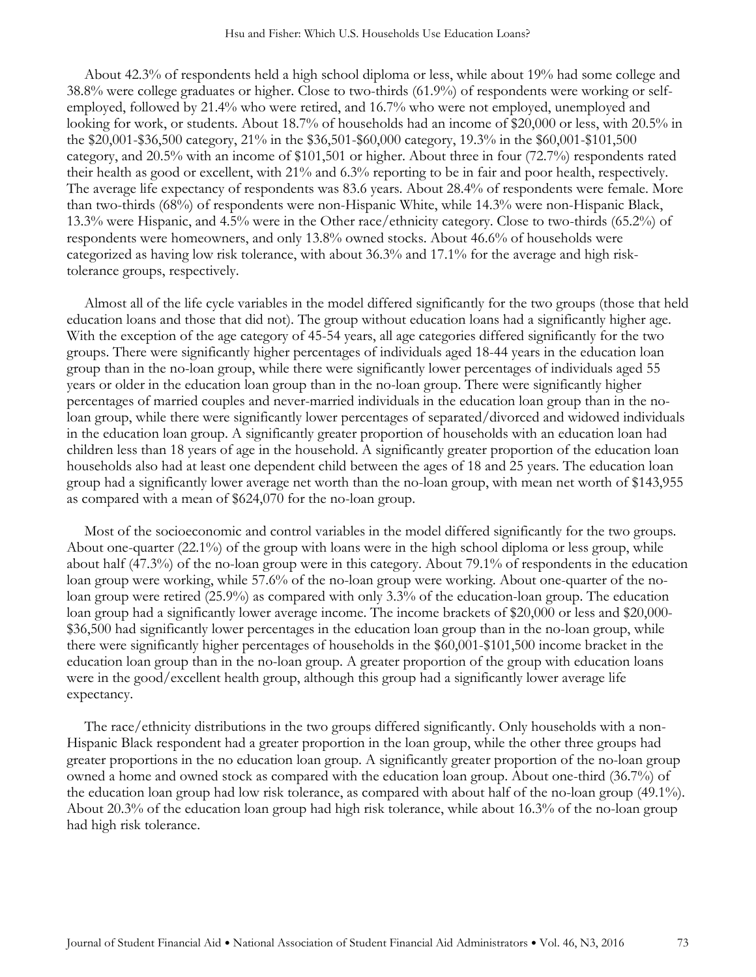About 42.3% of respondents held a high school diploma or less, while about 19% had some college and 38.8% were college graduates or higher. Close to two-thirds (61.9%) of respondents were working or selfemployed, followed by 21.4% who were retired, and 16.7% who were not employed, unemployed and looking for work, or students. About 18.7% of households had an income of \$20,000 or less, with 20.5% in the \$20,001-\$36,500 category, 21% in the \$36,501-\$60,000 category, 19.3% in the \$60,001-\$101,500 category, and 20.5% with an income of \$101,501 or higher. About three in four (72.7%) respondents rated their health as good or excellent, with 21% and 6.3% reporting to be in fair and poor health, respectively. The average life expectancy of respondents was 83.6 years. About 28.4% of respondents were female. More than two-thirds (68%) of respondents were non-Hispanic White, while 14.3% were non-Hispanic Black, 13.3% were Hispanic, and 4.5% were in the Other race/ethnicity category. Close to two-thirds (65.2%) of respondents were homeowners, and only 13.8% owned stocks. About 46.6% of households were categorized as having low risk tolerance, with about 36.3% and 17.1% for the average and high risktolerance groups, respectively.

Almost all of the life cycle variables in the model differed significantly for the two groups (those that held education loans and those that did not). The group without education loans had a significantly higher age. With the exception of the age category of 45-54 years, all age categories differed significantly for the two groups. There were significantly higher percentages of individuals aged 18-44 years in the education loan group than in the no-loan group, while there were significantly lower percentages of individuals aged 55 years or older in the education loan group than in the no-loan group. There were significantly higher percentages of married couples and never-married individuals in the education loan group than in the noloan group, while there were significantly lower percentages of separated/divorced and widowed individuals in the education loan group. A significantly greater proportion of households with an education loan had children less than 18 years of age in the household. A significantly greater proportion of the education loan households also had at least one dependent child between the ages of 18 and 25 years. The education loan group had a significantly lower average net worth than the no-loan group, with mean net worth of \$143,955 as compared with a mean of \$624,070 for the no-loan group.

Most of the socioeconomic and control variables in the model differed significantly for the two groups. About one-quarter (22.1%) of the group with loans were in the high school diploma or less group, while about half (47.3%) of the no-loan group were in this category. About 79.1% of respondents in the education loan group were working, while 57.6% of the no-loan group were working. About one-quarter of the noloan group were retired (25.9%) as compared with only 3.3% of the education-loan group. The education loan group had a significantly lower average income. The income brackets of \$20,000 or less and \$20,000-\$36,500 had significantly lower percentages in the education loan group than in the no-loan group, while there were significantly higher percentages of households in the \$60,001-\$101,500 income bracket in the education loan group than in the no-loan group. A greater proportion of the group with education loans were in the good/excellent health group, although this group had a significantly lower average life expectancy.

The race/ethnicity distributions in the two groups differed significantly. Only households with a non-Hispanic Black respondent had a greater proportion in the loan group, while the other three groups had greater proportions in the no education loan group. A significantly greater proportion of the no-loan group owned a home and owned stock as compared with the education loan group. About one-third (36.7%) of the education loan group had low risk tolerance, as compared with about half of the no-loan group (49.1%). About 20.3% of the education loan group had high risk tolerance, while about 16.3% of the no-loan group had high risk tolerance.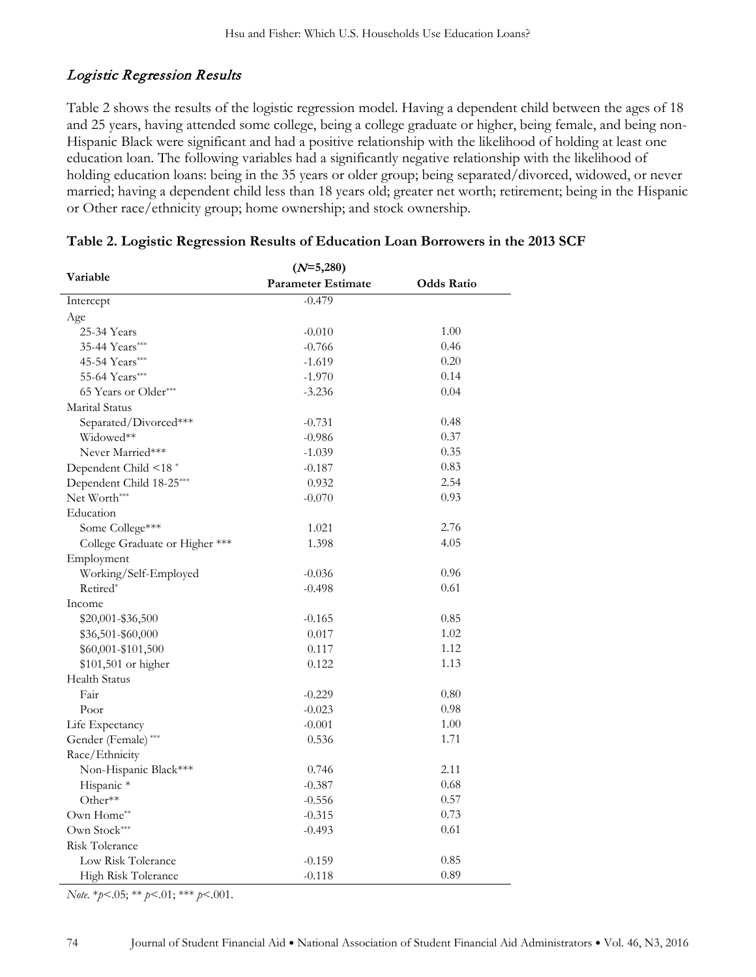# Logistic Regression Results

Table 2 shows the results of the logistic regression model. Having a dependent child between the ages of 18 and 25 years, having attended some college, being a college graduate or higher, being female, and being non-Hispanic Black were significant and had a positive relationship with the likelihood of holding at least one education loan. The following variables had a significantly negative relationship with the likelihood of holding education loans: being in the 35 years or older group; being separated/divorced, widowed, or never married; having a dependent child less than 18 years old; greater net worth; retirement; being in the Hispanic or Other race/ethnicity group; home ownership; and stock ownership.

|                                  | $(N=5,280)$               |                   |  |
|----------------------------------|---------------------------|-------------------|--|
| Variable                         | <b>Parameter Estimate</b> | <b>Odds Ratio</b> |  |
| Intercept                        | $-0.479$                  |                   |  |
| Age                              |                           |                   |  |
| 25-34 Years                      | $-0.010$                  | 1.00              |  |
| 35-44 Years***                   | $-0.766$                  | 0.46              |  |
| 45-54 Years***                   | $-1.619$                  | 0.20              |  |
| 55-64 Years***                   | $-1.970$                  | 0.14              |  |
| 65 Years or Older***             | $-3.236$                  | 0.04              |  |
| Marital Status                   |                           |                   |  |
| Separated/Divorced***            | $-0.731$                  | 0.48              |  |
| Widowed**                        | $-0.986$                  | 0.37              |  |
| Never Married***                 | $-1.039$                  | 0.35              |  |
| Dependent Child <18 <sup>*</sup> | $-0.187$                  | 0.83              |  |
| Dependent Child 18-25***         | 0.932                     | 2.54              |  |
| Net Worth***                     | $-0.070$                  | 0.93              |  |
| Education                        |                           |                   |  |
| Some College***                  | 1.021                     | 2.76              |  |
| College Graduate or Higher ***   | 1.398                     | 4.05              |  |
| Employment                       |                           |                   |  |
| Working/Self-Employed            | $-0.036$                  | 0.96              |  |
| Retired*                         | $-0.498$                  | 0.61              |  |
| Income                           |                           |                   |  |
| \$20,001-\$36,500                | $-0.165$                  | 0.85              |  |
| \$36,501-\$60,000                | 0.017                     | 1.02              |  |
| \$60,001-\$101,500               | 0.117                     | 1.12              |  |
| \$101,501 or higher              | 0.122                     | 1.13              |  |
| <b>Health Status</b>             |                           |                   |  |
| Fair                             | $-0.229$                  | 0.80              |  |
| Poor                             | $-0.023$                  | 0.98              |  |
| Life Expectancy                  | $-0.001$                  | 1.00              |  |
| Gender (Female) ***              | 0.536                     | 1.71              |  |
| Race/Ethnicity                   |                           |                   |  |
| Non-Hispanic Black***            | 0.746                     | 2.11              |  |
| Hispanic*                        | $-0.387$                  | 0.68              |  |
| Other**                          | $-0.556$                  | 0.57              |  |
| Own Home**                       | $-0.315$                  | 0.73              |  |
| Own Stock***                     | $-0.493$                  | 0.61              |  |
| Risk Tolerance                   |                           |                   |  |
| Low Risk Tolerance               | $-0.159$                  | 0.85              |  |
| High Risk Tolerance              | $-0.118$                  | 0.89              |  |

*Note.* \**p*<.05; \*\* *p*<.01; \*\*\* *p*<.001.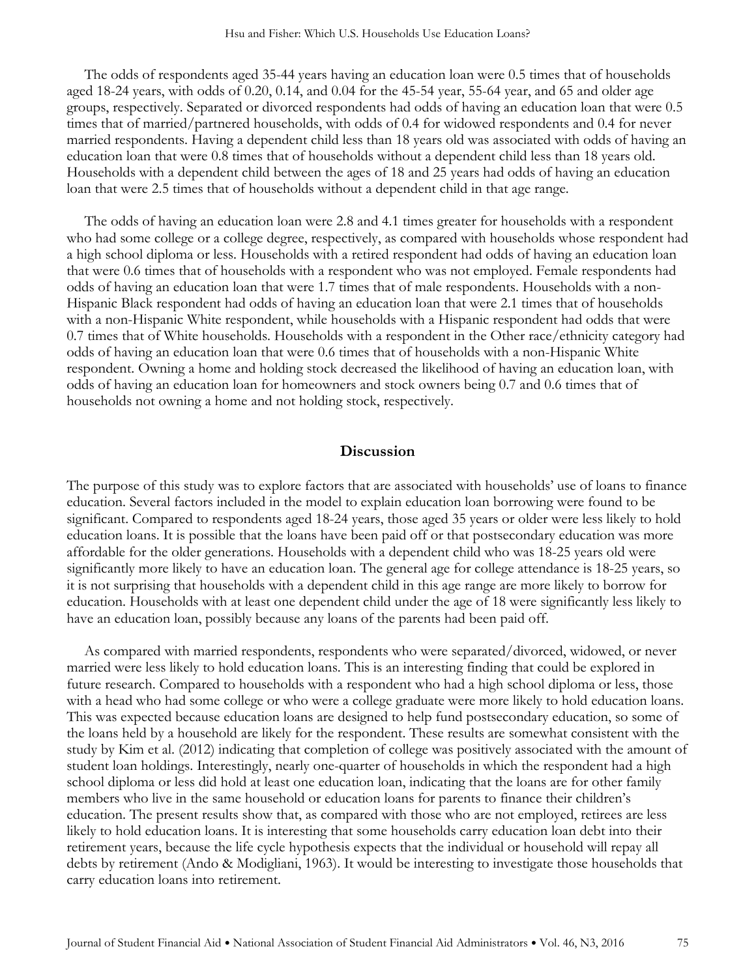The odds of respondents aged 35-44 years having an education loan were 0.5 times that of households aged 18-24 years, with odds of 0.20, 0.14, and 0.04 for the 45-54 year, 55-64 year, and 65 and older age groups, respectively. Separated or divorced respondents had odds of having an education loan that were 0.5 times that of married/partnered households, with odds of 0.4 for widowed respondents and 0.4 for never married respondents. Having a dependent child less than 18 years old was associated with odds of having an education loan that were 0.8 times that of households without a dependent child less than 18 years old. Households with a dependent child between the ages of 18 and 25 years had odds of having an education loan that were 2.5 times that of households without a dependent child in that age range.

The odds of having an education loan were 2.8 and 4.1 times greater for households with a respondent who had some college or a college degree, respectively, as compared with households whose respondent had a high school diploma or less. Households with a retired respondent had odds of having an education loan that were 0.6 times that of households with a respondent who was not employed. Female respondents had odds of having an education loan that were 1.7 times that of male respondents. Households with a non-Hispanic Black respondent had odds of having an education loan that were 2.1 times that of households with a non-Hispanic White respondent, while households with a Hispanic respondent had odds that were 0.7 times that of White households. Households with a respondent in the Other race/ethnicity category had odds of having an education loan that were 0.6 times that of households with a non-Hispanic White respondent. Owning a home and holding stock decreased the likelihood of having an education loan, with odds of having an education loan for homeowners and stock owners being 0.7 and 0.6 times that of households not owning a home and not holding stock, respectively.

### **Discussion**

The purpose of this study was to explore factors that are associated with households' use of loans to finance education. Several factors included in the model to explain education loan borrowing were found to be significant. Compared to respondents aged 18-24 years, those aged 35 years or older were less likely to hold education loans. It is possible that the loans have been paid off or that postsecondary education was more affordable for the older generations. Households with a dependent child who was 18-25 years old were significantly more likely to have an education loan. The general age for college attendance is 18-25 years, so it is not surprising that households with a dependent child in this age range are more likely to borrow for education. Households with at least one dependent child under the age of 18 were significantly less likely to have an education loan, possibly because any loans of the parents had been paid off.

As compared with married respondents, respondents who were separated/divorced, widowed, or never married were less likely to hold education loans. This is an interesting finding that could be explored in future research. Compared to households with a respondent who had a high school diploma or less, those with a head who had some college or who were a college graduate were more likely to hold education loans. This was expected because education loans are designed to help fund postsecondary education, so some of the loans held by a household are likely for the respondent. These results are somewhat consistent with the study by Kim et al. (2012) indicating that completion of college was positively associated with the amount of student loan holdings. Interestingly, nearly one-quarter of households in which the respondent had a high school diploma or less did hold at least one education loan, indicating that the loans are for other family members who live in the same household or education loans for parents to finance their children's education. The present results show that, as compared with those who are not employed, retirees are less likely to hold education loans. It is interesting that some households carry education loan debt into their retirement years, because the life cycle hypothesis expects that the individual or household will repay all debts by retirement (Ando & Modigliani, 1963). It would be interesting to investigate those households that carry education loans into retirement.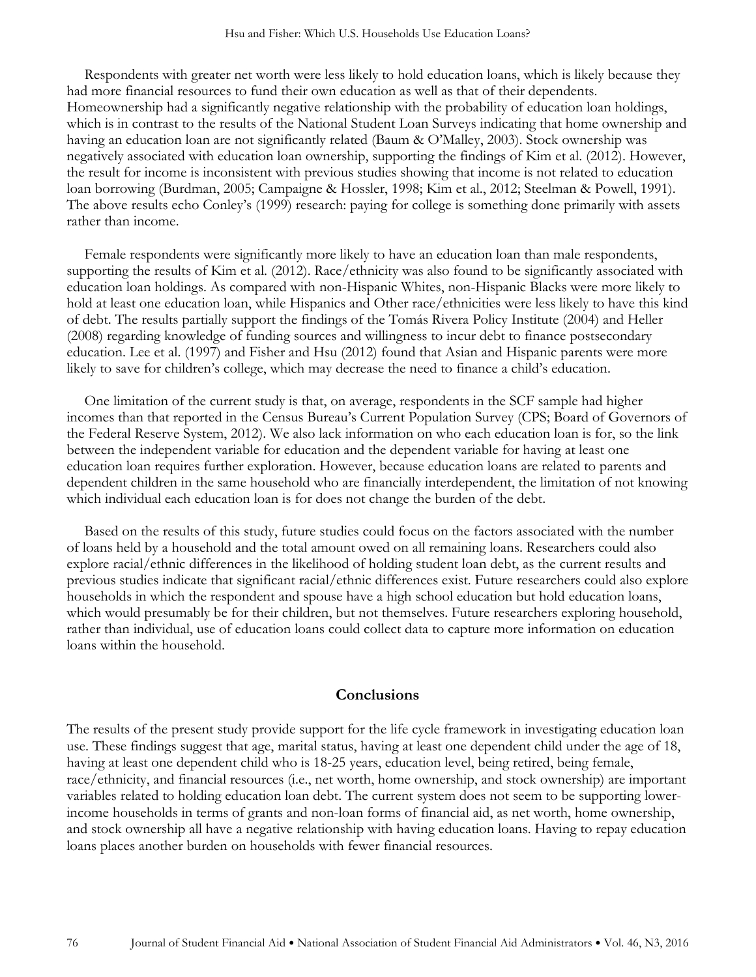Respondents with greater net worth were less likely to hold education loans, which is likely because they had more financial resources to fund their own education as well as that of their dependents. Homeownership had a significantly negative relationship with the probability of education loan holdings, which is in contrast to the results of the National Student Loan Surveys indicating that home ownership and having an education loan are not significantly related (Baum & O'Malley, 2003). Stock ownership was negatively associated with education loan ownership, supporting the findings of Kim et al. (2012). However, the result for income is inconsistent with previous studies showing that income is not related to education loan borrowing (Burdman, 2005; Campaigne & Hossler, 1998; Kim et al., 2012; Steelman & Powell, 1991). The above results echo Conley's (1999) research: paying for college is something done primarily with assets rather than income.

Female respondents were significantly more likely to have an education loan than male respondents, supporting the results of Kim et al. (2012). Race/ethnicity was also found to be significantly associated with education loan holdings. As compared with non-Hispanic Whites, non-Hispanic Blacks were more likely to hold at least one education loan, while Hispanics and Other race/ethnicities were less likely to have this kind of debt. The results partially support the findings of the Tomás Rivera Policy Institute (2004) and Heller (2008) regarding knowledge of funding sources and willingness to incur debt to finance postsecondary education. Lee et al. (1997) and Fisher and Hsu (2012) found that Asian and Hispanic parents were more likely to save for children's college, which may decrease the need to finance a child's education.

One limitation of the current study is that, on average, respondents in the SCF sample had higher incomes than that reported in the Census Bureau's Current Population Survey (CPS; Board of Governors of the Federal Reserve System, 2012). We also lack information on who each education loan is for, so the link between the independent variable for education and the dependent variable for having at least one education loan requires further exploration. However, because education loans are related to parents and dependent children in the same household who are financially interdependent, the limitation of not knowing which individual each education loan is for does not change the burden of the debt.

Based on the results of this study, future studies could focus on the factors associated with the number of loans held by a household and the total amount owed on all remaining loans. Researchers could also explore racial/ethnic differences in the likelihood of holding student loan debt, as the current results and previous studies indicate that significant racial/ethnic differences exist. Future researchers could also explore households in which the respondent and spouse have a high school education but hold education loans, which would presumably be for their children, but not themselves. Future researchers exploring household, rather than individual, use of education loans could collect data to capture more information on education loans within the household.

#### **Conclusions**

The results of the present study provide support for the life cycle framework in investigating education loan use. These findings suggest that age, marital status, having at least one dependent child under the age of 18, having at least one dependent child who is 18-25 years, education level, being retired, being female, race/ethnicity, and financial resources (i.e., net worth, home ownership, and stock ownership) are important variables related to holding education loan debt. The current system does not seem to be supporting lowerincome households in terms of grants and non-loan forms of financial aid, as net worth, home ownership, and stock ownership all have a negative relationship with having education loans. Having to repay education loans places another burden on households with fewer financial resources.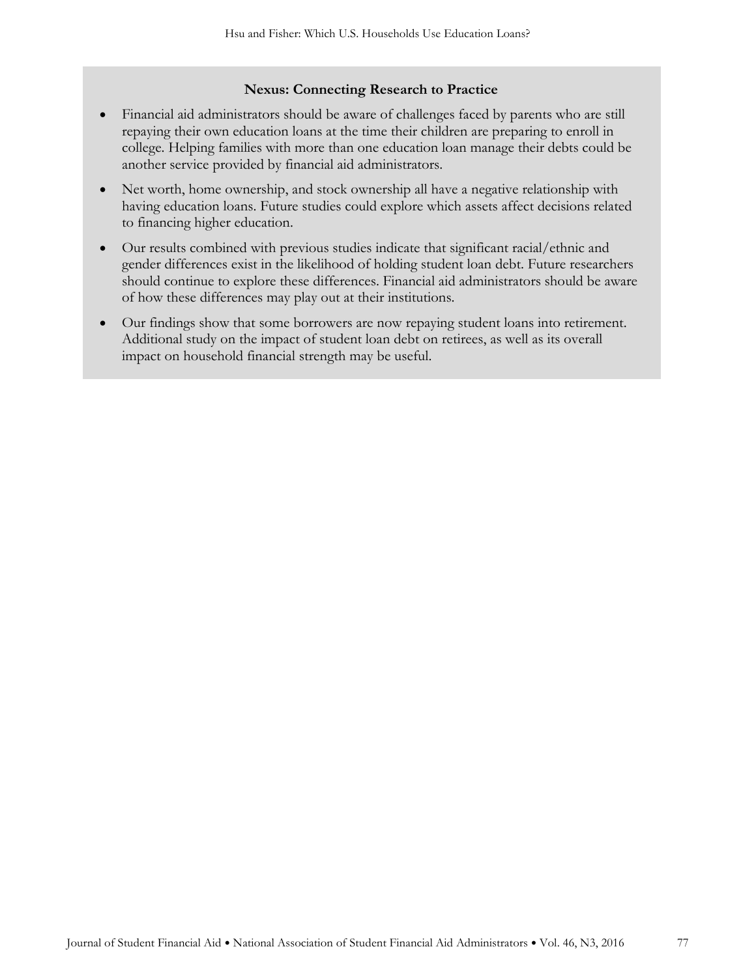#### **Nexus: Connecting Research to Practice**

- Financial aid administrators should be aware of challenges faced by parents who are still repaying their own education loans at the time their children are preparing to enroll in college. Helping families with more than one education loan manage their debts could be another service provided by financial aid administrators.
- Net worth, home ownership, and stock ownership all have a negative relationship with having education loans. Future studies could explore which assets affect decisions related to financing higher education.
- Our results combined with previous studies indicate that significant racial/ethnic and gender differences exist in the likelihood of holding student loan debt. Future researchers should continue to explore these differences. Financial aid administrators should be aware of how these differences may play out at their institutions.
- Our findings show that some borrowers are now repaying student loans into retirement. Additional study on the impact of student loan debt on retirees, as well as its overall impact on household financial strength may be useful.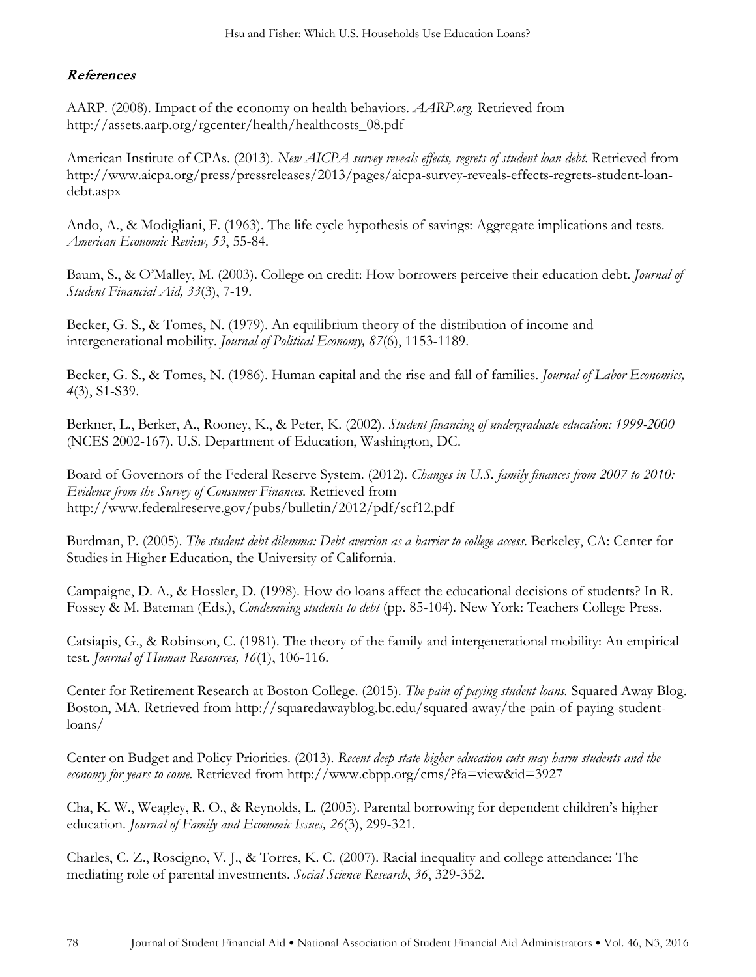# References

AARP. (2008). Impact of the economy on health behaviors. *AARP.org.* Retrieved from http://assets.aarp.org/rgcenter/health/healthcosts\_08.pdf

American Institute of CPAs. (2013). *New AICPA survey reveals effects, regrets of student loan debt.* Retrieved from http://www.aicpa.org/press/pressreleases/2013/pages/aicpa-survey-reveals-effects-regrets-student-loandebt.aspx

Ando, A., & Modigliani, F. (1963). The life cycle hypothesis of savings: Aggregate implications and tests. *American Economic Review, 53*, 55-84.

Baum, S., & O'Malley, M. (2003). College on credit: How borrowers perceive their education debt. *Journal of Student Financial Aid, 33*(3), 7-19.

Becker, G. S., & Tomes, N. (1979). An equilibrium theory of the distribution of income and intergenerational mobility. *Journal of Political Economy, 87*(6), 1153-1189.

Becker, G. S., & Tomes, N. (1986). Human capital and the rise and fall of families. *Journal of Labor Economics, 4*(3), S1-S39.

Berkner, L., Berker, A., Rooney, K., & Peter, K. (2002). *Student financing of undergraduate education: 1999-2000* (NCES 2002-167). U.S. Department of Education, Washington, DC.

Board of Governors of the Federal Reserve System. (2012). *Changes in U.S. family finances from 2007 to 2010: Evidence from the Survey of Consumer Finances.* Retrieved from http://www.federalreserve.gov/pubs/bulletin/2012/pdf/scf12.pdf

Burdman, P. (2005). *The student debt dilemma: Debt aversion as a barrier to college access*. Berkeley, CA: Center for Studies in Higher Education, the University of California.

Campaigne, D. A., & Hossler, D. (1998). How do loans affect the educational decisions of students? In R. Fossey & M. Bateman (Eds.), *Condemning students to debt* (pp. 85-104). New York: Teachers College Press.

Catsiapis, G., & Robinson, C. (1981). The theory of the family and intergenerational mobility: An empirical test. *Journal of Human Resources, 16*(1), 106-116.

Center for Retirement Research at Boston College. (2015). *The pain of paying student loans.* Squared Away Blog. Boston, MA. Retrieved from http://squaredawayblog.bc.edu/squared-away/the-pain-of-paying-studentloans/

Center on Budget and Policy Priorities. (2013). *Recent deep state higher education cuts may harm students and the economy for years to come.* Retrieved from http://www.cbpp.org/cms/?fa=view&id=3927

Cha, K. W., Weagley, R. O., & Reynolds, L. (2005). Parental borrowing for dependent children's higher education. *Journal of Family and Economic Issues, 26*(3), 299-321.

Charles, C. Z., Roscigno, V. J., & Torres, K. C. (2007). Racial inequality and college attendance: The mediating role of parental investments. *Social Science Research*, *36*, 329-352.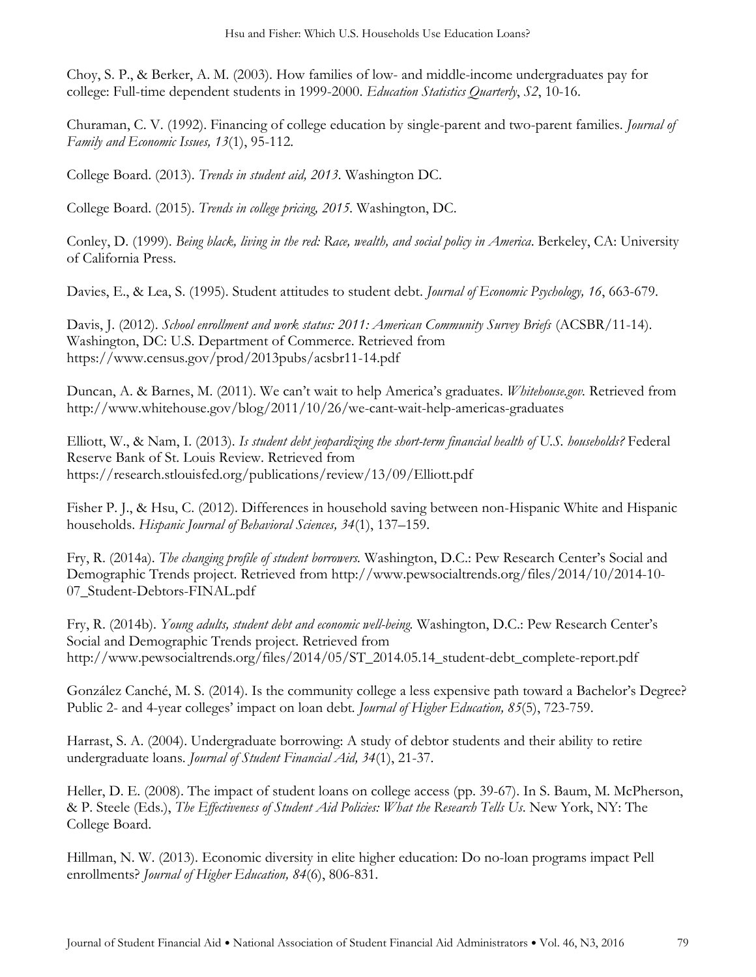Choy, S. P., & Berker, A. M. (2003). How families of low- and middle-income undergraduates pay for college: Full-time dependent students in 1999-2000. *Education Statistics Quarterly*, *S2*, 10-16.

Churaman, C. V. (1992). Financing of college education by single-parent and two-parent families. *Journal of Family and Economic Issues, 13*(1), 95-112.

College Board. (2013). *Trends in student aid, 2013.* Washington DC.

College Board. (2015). *Trends in college pricing, 2015.* Washington, DC.

Conley, D. (1999). *Being black, living in the red: Race, wealth, and social policy in America*. Berkeley, CA: University of California Press.

Davies, E., & Lea, S. (1995). Student attitudes to student debt. *Journal of Economic Psychology, 16*, 663-679.

Davis, J. (2012). *School enrollment and work status: 2011: American Community Survey Briefs* (ACSBR/11-14). Washington, DC: U.S. Department of Commerce. Retrieved from https://www.census.gov/prod/2013pubs/acsbr11-14.pdf

Duncan, A. & Barnes, M. (2011). We can't wait to help America's graduates. *Whitehouse.gov.* Retrieved from http://www.whitehouse.gov/blog/2011/10/26/we-cant-wait-help-americas-graduates

Elliott, W., & Nam, I. (2013). *Is student debt jeopardizing the short-term financial health of U.S. households?* Federal Reserve Bank of St. Louis Review. Retrieved from https://research.stlouisfed.org/publications/review/13/09/Elliott.pdf

Fisher P. J., & Hsu, C. (2012). Differences in household saving between non-Hispanic White and Hispanic households. *Hispanic Journal of Behavioral Sciences, 34*(1), 137–159.

Fry, R. (2014a). *The changing profile of student borrowers.* Washington, D.C.: Pew Research Center's Social and Demographic Trends project. Retrieved from http://www.pewsocialtrends.org/files/2014/10/2014-10- 07\_Student-Debtors-FINAL.pdf

Fry, R. (2014b). *Young adults, student debt and economic well-being.* Washington, D.C.: Pew Research Center's Social and Demographic Trends project. Retrieved from http://www.pewsocialtrends.org/files/2014/05/ST\_2014.05.14\_student-debt\_complete-report.pdf

González Canché, M. S. (2014). Is the community college a less expensive path toward a Bachelor's Degree? Public 2- and 4-year colleges' impact on loan debt*. Journal of Higher Education, 85*(5), 723-759.

Harrast, S. A. (2004). Undergraduate borrowing: A study of debtor students and their ability to retire undergraduate loans. *Journal of Student Financial Aid, 34*(1), 21-37.

Heller, D. E. (2008). The impact of student loans on college access (pp. 39-67). In S. Baum, M. McPherson, & P. Steele (Eds.), *The Effectiveness of Student Aid Policies: What the Research Tells Us*. New York, NY: The College Board.

Hillman, N. W. (2013). Economic diversity in elite higher education: Do no-loan programs impact Pell enrollments? *Journal of Higher Education, 84*(6), 806-831.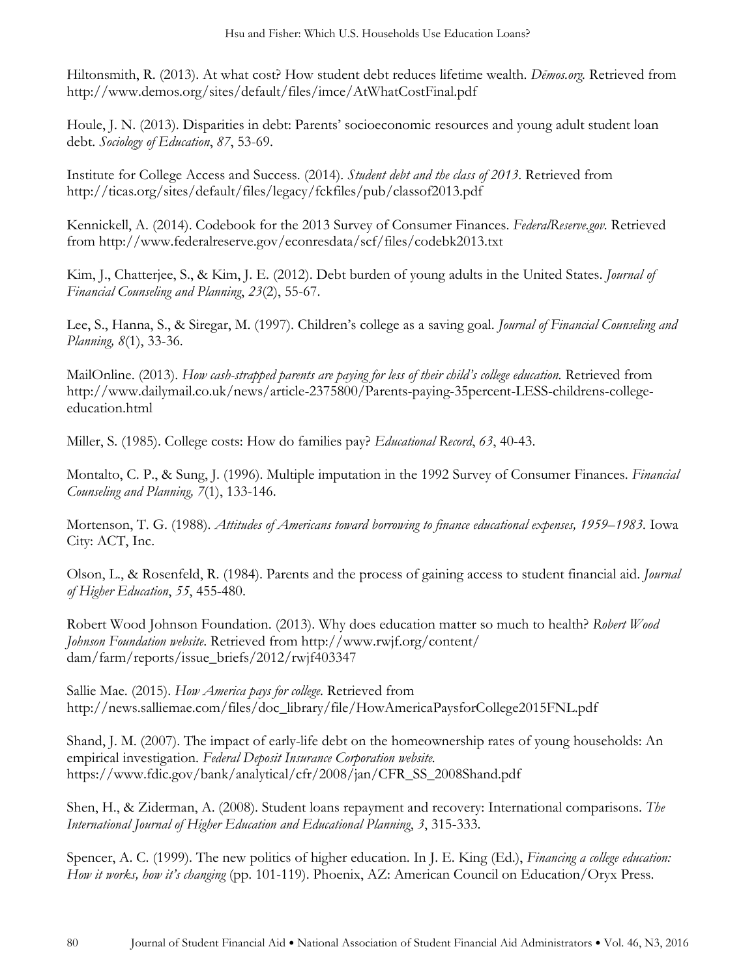Hiltonsmith, R. (2013). At what cost? How student debt reduces lifetime wealth. *Dēmos.org.* Retrieved from http://www.demos.org/sites/default/files/imce/AtWhatCostFinal.pdf

Houle, J. N. (2013). Disparities in debt: Parents' socioeconomic resources and young adult student loan debt. *Sociology of Education*, *87*, 53-69.

Institute for College Access and Success. (2014). *Student debt and the class of 2013*. Retrieved from http://ticas.org/sites/default/files/legacy/fckfiles/pub/classof2013.pdf

Kennickell, A. (2014). Codebook for the 2013 Survey of Consumer Finances. *FederalReserve.gov.* Retrieved from http://www.federalreserve.gov/econresdata/scf/files/codebk2013.txt

Kim, J., Chatterjee, S., & Kim, J. E. (2012). Debt burden of young adults in the United States. *Journal of Financial Counseling and Planning*, *23*(2), 55-67.

Lee, S., Hanna, S., & Siregar, M. (1997). Children's college as a saving goal. *Journal of Financial Counseling and Planning, 8*(1), 33-36.

MailOnline. (2013). *How cash-strapped parents are paying for less of their child's college education*. Retrieved from http://www.dailymail.co.uk/news/article-2375800/Parents-paying-35percent-LESS-childrens-collegeeducation.html

Miller, S. (1985). College costs: How do families pay? *Educational Record*, *63*, 40-43.

Montalto, C. P., & Sung, J. (1996). Multiple imputation in the 1992 Survey of Consumer Finances. *Financial Counseling and Planning, 7*(1), 133-146.

Mortenson, T. G. (1988). *Attitudes of Americans toward borrowing to finance educational expenses, 1959–1983.* Iowa City: ACT, Inc.

Olson, L., & Rosenfeld, R. (1984). Parents and the process of gaining access to student financial aid. *Journal of Higher Education*, *55*, 455-480.

Robert Wood Johnson Foundation. (2013). Why does education matter so much to health? *Robert Wood Johnson Foundation website*. Retrieved from http://www.rwjf.org/content/ dam/farm/reports/issue\_briefs/2012/rwjf403347

Sallie Mae. (2015). *How America pays for college*. Retrieved from http://news.salliemae.com/files/doc\_library/file/HowAmericaPaysforCollege2015FNL.pdf

Shand, J. M. (2007). The impact of early-life debt on the homeownership rates of young households: An empirical investigation. *Federal Deposit Insurance Corporation website.* https://www.fdic.gov/bank/analytical/cfr/2008/jan/CFR\_SS\_2008Shand.pdf

Shen, H., & Ziderman, A. (2008). Student loans repayment and recovery: International comparisons. *The International Journal of Higher Education and Educational Planning*, *3*, 315-333.

Spencer, A. C. (1999). The new politics of higher education. In J. E. King (Ed.), *Financing a college education: How it works, how it's changing* (pp. 101-119). Phoenix, AZ: American Council on Education/Oryx Press.